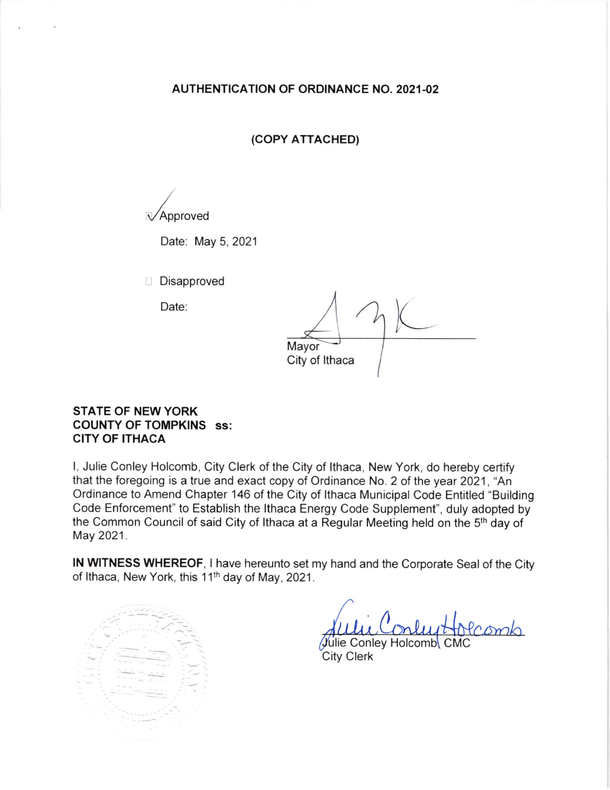AUTHENTICATION OF ORDINANCE NO. 2021.02

(coPY ATTACHEo)

Approved

Date: May 5, 2021

**Disapproved** 

Date:

Mayor City of lthaca

#### STATE OF NEW YORK COUNTY OF TOMPKINS ss: CITY OF ITHACA

l, Julie Conley Holcomb, City Clerk of the City of lthaca, New York, do hereby certify that the foregoing is a true and exact copy of Ordinance No. 2 of the year 2021, "An Ordinance to Amend Chapter 146 of the City of lthaca Municipal Code Entitled "Building Code Enforcement" to Establish the lthaca Energy Code Supplement", duly adopted by the Common Council of said City of Ithaca at a Regular Meeting held on the 5<sup>th</sup> day of May 2021.

IN WITNESS WHEREOF, I have hereunto set my hand and the Corporate Seal of the City of Ithaca, New York, this 11<sup>th</sup> day of May, 2021.

Vulie Conley Holcomb City Clerk CMC

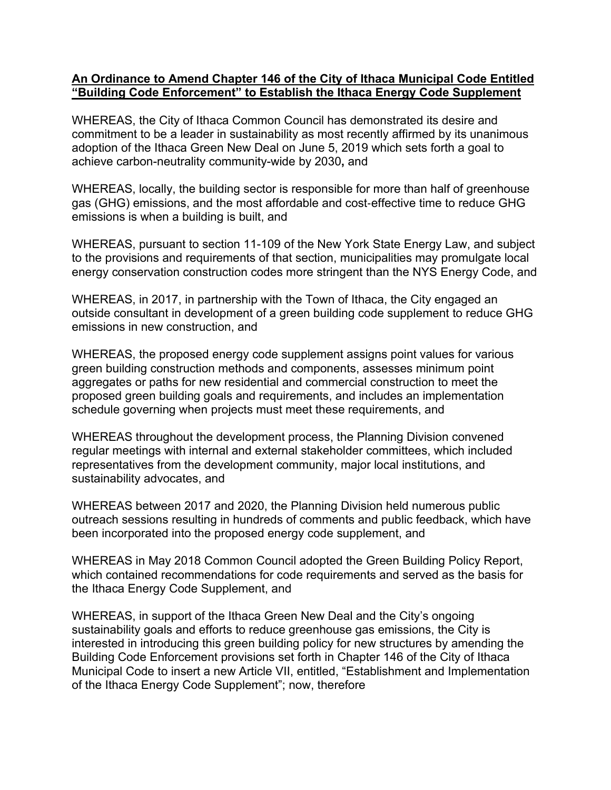#### **An Ordinance to Amend Chapter 146 of the City of Ithaca Municipal Code Entitled "Building Code Enforcement" to Establish the Ithaca Energy Code Supplement**

WHEREAS, the City of Ithaca Common Council has demonstrated its desire and commitment to be a leader in sustainability as most recently affirmed by its unanimous adoption of the Ithaca Green New Deal on June 5, 2019 which sets forth a goal to achieve carbon-neutrality community-wide by 2030**,** and

WHEREAS, locally, the building sector is responsible for more than half of greenhouse gas (GHG) emissions, and the most affordable and cost-effective time to reduce GHG emissions is when a building is built, and

WHEREAS, pursuant to section 11-109 of the New York State Energy Law, and subject to the provisions and requirements of that section, municipalities may promulgate local energy conservation construction codes more stringent than the NYS Energy Code, and

WHEREAS, in 2017, in partnership with the Town of Ithaca, the City engaged an outside consultant in development of a green building code supplement to reduce GHG emissions in new construction, and

WHEREAS, the proposed energy code supplement assigns point values for various green building construction methods and components, assesses minimum point aggregates or paths for new residential and commercial construction to meet the proposed green building goals and requirements, and includes an implementation schedule governing when projects must meet these requirements, and

WHEREAS throughout the development process, the Planning Division convened regular meetings with internal and external stakeholder committees, which included representatives from the development community, major local institutions, and sustainability advocates, and

WHEREAS between 2017 and 2020, the Planning Division held numerous public outreach sessions resulting in hundreds of comments and public feedback, which have been incorporated into the proposed energy code supplement, and

WHEREAS in May 2018 Common Council adopted the Green Building Policy Report, which contained recommendations for code requirements and served as the basis for the Ithaca Energy Code Supplement, and

WHEREAS, in support of the Ithaca Green New Deal and the City's ongoing sustainability goals and efforts to reduce greenhouse gas emissions, the City is interested in introducing this green building policy for new structures by amending the Building Code Enforcement provisions set forth in Chapter 146 of the City of Ithaca Municipal Code to insert a new Article VII, entitled, "Establishment and Implementation of the Ithaca Energy Code Supplement"; now, therefore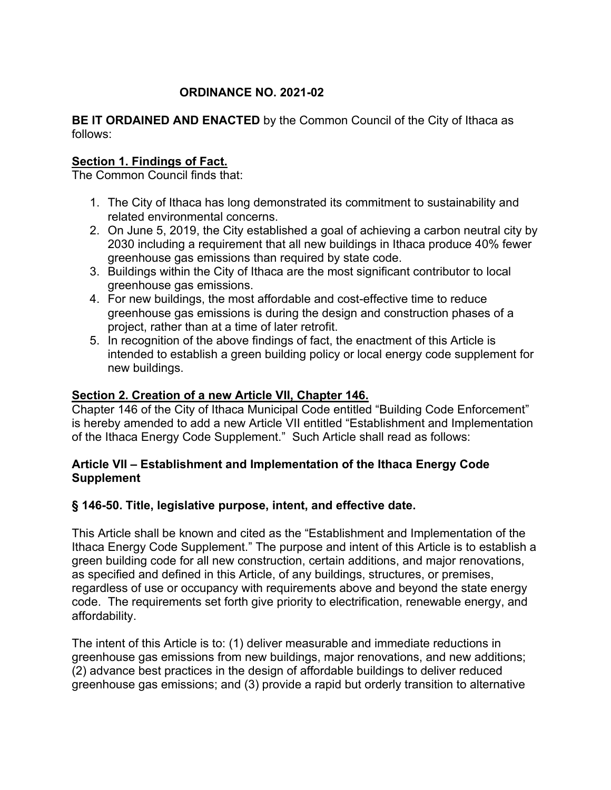# **ORDINANCE NO. 2021-02**

**BE IT ORDAINED AND ENACTED** by the Common Council of the City of Ithaca as follows:

### **Section 1. Findings of Fact.**

The Common Council finds that:

- 1. The City of Ithaca has long demonstrated its commitment to sustainability and related environmental concerns.
- 2. On June 5, 2019, the City established a goal of achieving a carbon neutral city by 2030 including a requirement that all new buildings in Ithaca produce 40% fewer greenhouse gas emissions than required by state code.
- 3. Buildings within the City of Ithaca are the most significant contributor to local greenhouse gas emissions.
- 4. For new buildings, the most affordable and cost-effective time to reduce greenhouse gas emissions is during the design and construction phases of a project, rather than at a time of later retrofit.
- 5. In recognition of the above findings of fact, the enactment of this Article is intended to establish a green building policy or local energy code supplement for new buildings.

#### **Section 2. Creation of a new Article VII, Chapter 146.**

Chapter 146 of the City of Ithaca Municipal Code entitled "Building Code Enforcement" is hereby amended to add a new Article VII entitled "Establishment and Implementation of the Ithaca Energy Code Supplement." Such Article shall read as follows:

### **Article VII – Establishment and Implementation of the Ithaca Energy Code Supplement**

#### **§ 146-50. Title, legislative purpose, intent, and effective date.**

This Article shall be known and cited as the "Establishment and Implementation of the Ithaca Energy Code Supplement." The purpose and intent of this Article is to establish a green building code for all new construction, certain additions, and major renovations, as specified and defined in this Article, of any buildings, structures, or premises, regardless of use or occupancy with requirements above and beyond the state energy code. The requirements set forth give priority to electrification, renewable energy, and affordability.

The intent of this Article is to: (1) deliver measurable and immediate reductions in greenhouse gas emissions from new buildings, major renovations, and new additions; (2) advance best practices in the design of affordable buildings to deliver reduced greenhouse gas emissions; and (3) provide a rapid but orderly transition to alternative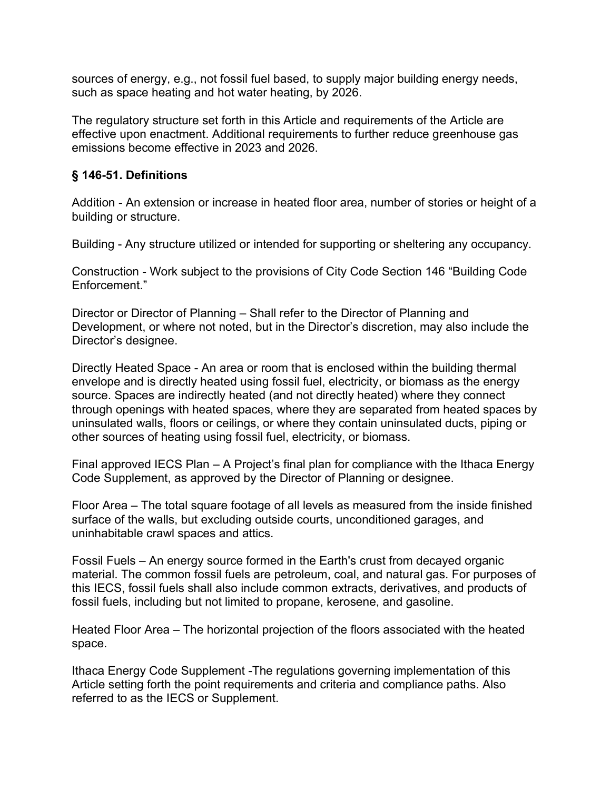sources of energy, e.g., not fossil fuel based, to supply major building energy needs, such as space heating and hot water heating, by 2026.

The regulatory structure set forth in this Article and requirements of the Article are effective upon enactment. Additional requirements to further reduce greenhouse gas emissions become effective in 2023 and 2026.

## **§ 146-51. Definitions**

Addition - An extension or increase in heated floor area, number of stories or height of a building or structure.

Building - Any structure utilized or intended for supporting or sheltering any occupancy.

Construction - Work subject to the provisions of City Code Section 146 "Building Code Enforcement."

Director or Director of Planning – Shall refer to the Director of Planning and Development, or where not noted, but in the Director's discretion, may also include the Director's designee.

Directly Heated Space - An area or room that is enclosed within the building thermal envelope and is directly heated using fossil fuel, electricity, or biomass as the energy source. Spaces are indirectly heated (and not directly heated) where they connect through openings with heated spaces, where they are separated from heated spaces by uninsulated walls, floors or ceilings, or where they contain uninsulated ducts, piping or other sources of heating using fossil fuel, electricity, or biomass.

Final approved IECS Plan – A Project's final plan for compliance with the Ithaca Energy Code Supplement, as approved by the Director of Planning or designee.

Floor Area – The total square footage of all levels as measured from the inside finished surface of the walls, but excluding outside courts, unconditioned garages, and uninhabitable crawl spaces and attics.

Fossil Fuels – An energy source formed in the Earth's crust from decayed organic material. The common fossil fuels are petroleum, coal, and natural gas. For purposes of this IECS, fossil fuels shall also include common extracts, derivatives, and products of fossil fuels, including but not limited to propane, kerosene, and gasoline.

Heated Floor Area – The horizontal projection of the floors associated with the heated space.

Ithaca Energy Code Supplement -The regulations governing implementation of this Article setting forth the point requirements and criteria and compliance paths. Also referred to as the IECS or Supplement.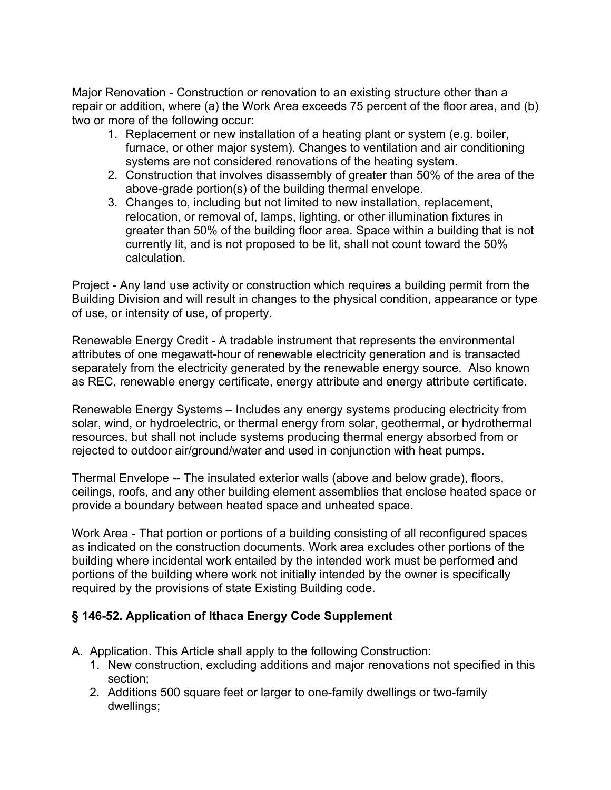Major Renovation - Construction or renovation to an existing structure other than a repair or addition, where (a) the Work Area exceeds 75 percent of the floor area, and (b) two or more of the following occur:

- 1. Replacement or new installation of a heating plant or system (e.g. boiler, furnace, or other major system). Changes to ventilation and air conditioning systems are not considered renovations of the heating system.
- 2. Construction that involves disassembly of greater than 50% of the area of the above-grade portion(s) of the building thermal envelope.
- 3. Changes to, including but not limited to new installation, replacement, relocation, or removal of, lamps, lighting, or other illumination fixtures in greater than 50% of the building floor area. Space within a building that is not currently lit, and is not proposed to be lit, shall not count toward the 50% calculation.

Project - Any land use activity or construction which requires a building permit from the Building Division and will result in changes to the physical condition, appearance or type of use, or intensity of use, of property.

Renewable Energy Credit - A tradable instrument that represents the environmental attributes of one megawatt-hour of renewable electricity generation and is transacted separately from the electricity generated by the renewable energy source. Also known as REC, renewable energy certificate, energy attribute and energy attribute certificate.

Renewable Energy Systems – Includes any energy systems producing electricity from solar, wind, or hydroelectric, or thermal energy from solar, geothermal, or hydrothermal resources, but shall not include systems producing thermal energy absorbed from or rejected to outdoor air/ground/water and used in conjunction with heat pumps.

Thermal Envelope -- The insulated exterior walls (above and below grade), floors, ceilings, roofs, and any other building element assemblies that enclose heated space or provide a boundary between heated space and unheated space.

Work Area - That portion or portions of a building consisting of all reconfigured spaces as indicated on the construction documents. Work area excludes other portions of the building where incidental work entailed by the intended work must be performed and portions of the building where work not initially intended by the owner is specifically required by the provisions of state Existing Building code.

## **§ 146-52. Application of Ithaca Energy Code Supplement**

- A. Application. This Article shall apply to the following Construction:
	- 1. New construction, excluding additions and major renovations not specified in this section;
	- 2. Additions 500 square feet or larger to one-family dwellings or two-family dwellings;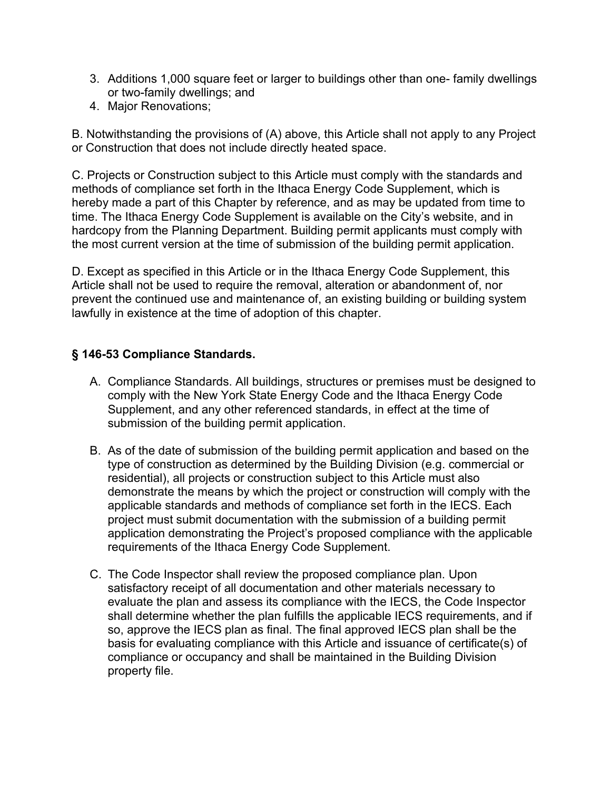- 3. Additions 1,000 square feet or larger to buildings other than one- family dwellings or two-family dwellings; and
- 4. Major Renovations;

B. Notwithstanding the provisions of (A) above, this Article shall not apply to any Project or Construction that does not include directly heated space.

C. Projects or Construction subject to this Article must comply with the standards and methods of compliance set forth in the Ithaca Energy Code Supplement, which is hereby made a part of this Chapter by reference, and as may be updated from time to time. The Ithaca Energy Code Supplement is available on the City's website, and in hardcopy from the Planning Department. Building permit applicants must comply with the most current version at the time of submission of the building permit application.

D. Except as specified in this Article or in the Ithaca Energy Code Supplement, this Article shall not be used to require the removal, alteration or abandonment of, nor prevent the continued use and maintenance of, an existing building or building system lawfully in existence at the time of adoption of this chapter.

### **§ 146-53 Compliance Standards.**

- A. Compliance Standards. All buildings, structures or premises must be designed to comply with the New York State Energy Code and the Ithaca Energy Code Supplement, and any other referenced standards, in effect at the time of submission of the building permit application.
- B. As of the date of submission of the building permit application and based on the type of construction as determined by the Building Division (e.g. commercial or residential), all projects or construction subject to this Article must also demonstrate the means by which the project or construction will comply with the applicable standards and methods of compliance set forth in the IECS. Each project must submit documentation with the submission of a building permit application demonstrating the Project's proposed compliance with the applicable requirements of the Ithaca Energy Code Supplement.
- C. The Code Inspector shall review the proposed compliance plan. Upon satisfactory receipt of all documentation and other materials necessary to evaluate the plan and assess its compliance with the IECS, the Code Inspector shall determine whether the plan fulfills the applicable IECS requirements, and if so, approve the IECS plan as final. The final approved IECS plan shall be the basis for evaluating compliance with this Article and issuance of certificate(s) of compliance or occupancy and shall be maintained in the Building Division property file.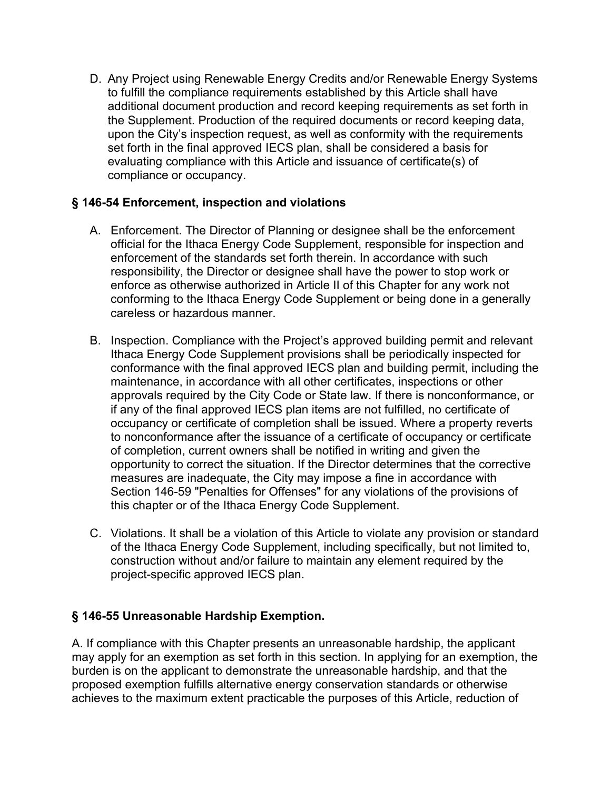D. Any Project using Renewable Energy Credits and/or Renewable Energy Systems to fulfill the compliance requirements established by this Article shall have additional document production and record keeping requirements as set forth in the Supplement. Production of the required documents or record keeping data, upon the City's inspection request, as well as conformity with the requirements set forth in the final approved IECS plan, shall be considered a basis for evaluating compliance with this Article and issuance of certificate(s) of compliance or occupancy.

### **§ 146-54 Enforcement, inspection and violations**

- A. Enforcement. The Director of Planning or designee shall be the enforcement official for the Ithaca Energy Code Supplement, responsible for inspection and enforcement of the standards set forth therein. In accordance with such responsibility, the Director or designee shall have the power to stop work or enforce as otherwise authorized in Article II of this Chapter for any work not conforming to the Ithaca Energy Code Supplement or being done in a generally careless or hazardous manner.
- B. Inspection. Compliance with the Project's approved building permit and relevant Ithaca Energy Code Supplement provisions shall be periodically inspected for conformance with the final approved IECS plan and building permit, including the maintenance, in accordance with all other certificates, inspections or other approvals required by the City Code or State law. If there is nonconformance, or if any of the final approved IECS plan items are not fulfilled, no certificate of occupancy or certificate of completion shall be issued. Where a property reverts to nonconformance after the issuance of a certificate of occupancy or certificate of completion, current owners shall be notified in writing and given the opportunity to correct the situation. If the Director determines that the corrective measures are inadequate, the City may impose a fine in accordance with Section 146-59 "Penalties for Offenses" for any violations of the provisions of this chapter or of the Ithaca Energy Code Supplement.
- C. Violations. It shall be a violation of this Article to violate any provision or standard of the Ithaca Energy Code Supplement, including specifically, but not limited to, construction without and/or failure to maintain any element required by the project-specific approved IECS plan.

## **§ 146-55 Unreasonable Hardship Exemption.**

A. If compliance with this Chapter presents an unreasonable hardship, the applicant may apply for an exemption as set forth in this section. In applying for an exemption, the burden is on the applicant to demonstrate the unreasonable hardship, and that the proposed exemption fulfills alternative energy conservation standards or otherwise achieves to the maximum extent practicable the purposes of this Article, reduction of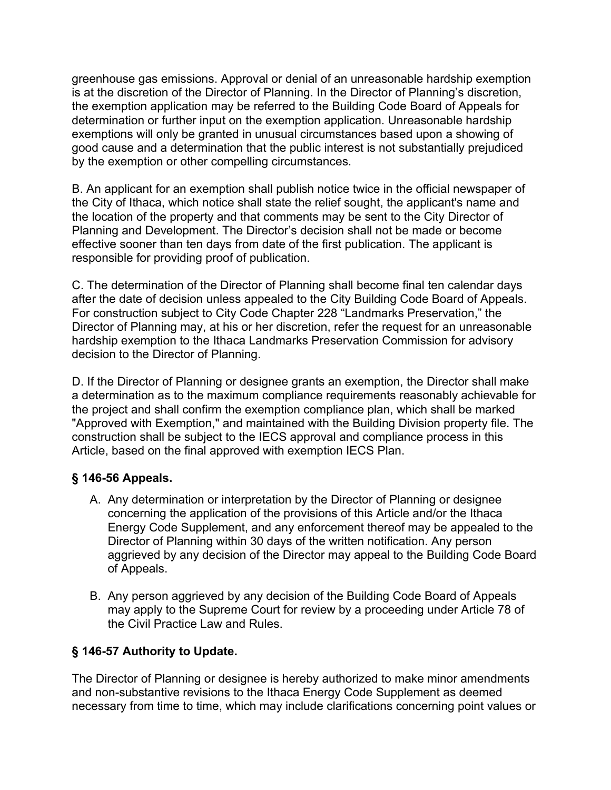greenhouse gas emissions. Approval or denial of an unreasonable hardship exemption is at the discretion of the Director of Planning. In the Director of Planning's discretion, the exemption application may be referred to the Building Code Board of Appeals for determination or further input on the exemption application. Unreasonable hardship exemptions will only be granted in unusual circumstances based upon a showing of good cause and a determination that the public interest is not substantially prejudiced by the exemption or other compelling circumstances.

B. An applicant for an exemption shall publish notice twice in the official newspaper of the City of Ithaca, which notice shall state the relief sought, the applicant's name and the location of the property and that comments may be sent to the City Director of Planning and Development. The Director's decision shall not be made or become effective sooner than ten days from date of the first publication. The applicant is responsible for providing proof of publication.

C. The determination of the Director of Planning shall become final ten calendar days after the date of decision unless appealed to the City Building Code Board of Appeals. For construction subject to City Code Chapter 228 "Landmarks Preservation," the Director of Planning may, at his or her discretion, refer the request for an unreasonable hardship exemption to the Ithaca Landmarks Preservation Commission for advisory decision to the Director of Planning.

D. If the Director of Planning or designee grants an exemption, the Director shall make a determination as to the maximum compliance requirements reasonably achievable for the project and shall confirm the exemption compliance plan, which shall be marked "Approved with Exemption," and maintained with the Building Division property file. The construction shall be subject to the IECS approval and compliance process in this Article, based on the final approved with exemption IECS Plan.

## **§ 146-56 Appeals.**

- A. Any determination or interpretation by the Director of Planning or designee concerning the application of the provisions of this Article and/or the Ithaca Energy Code Supplement, and any enforcement thereof may be appealed to the Director of Planning within 30 days of the written notification. Any person aggrieved by any decision of the Director may appeal to the Building Code Board of Appeals.
- B. Any person aggrieved by any decision of the Building Code Board of Appeals may apply to the Supreme Court for review by a proceeding under Article 78 of the Civil Practice Law and Rules.

## **§ 146-57 Authority to Update.**

The Director of Planning or designee is hereby authorized to make minor amendments and non-substantive revisions to the Ithaca Energy Code Supplement as deemed necessary from time to time, which may include clarifications concerning point values or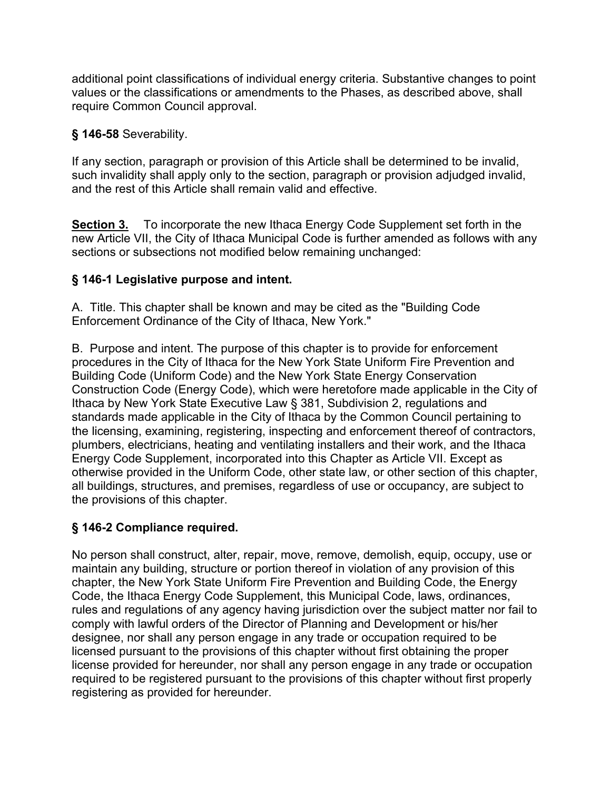additional point classifications of individual energy criteria. Substantive changes to point values or the classifications or amendments to the Phases, as described above, shall require Common Council approval.

## **§ 146-58** Severability.

If any section, paragraph or provision of this Article shall be determined to be invalid, such invalidity shall apply only to the section, paragraph or provision adjudged invalid, and the rest of this Article shall remain valid and effective.

**Section 3.** To incorporate the new Ithaca Energy Code Supplement set forth in the new Article VII, the City of Ithaca Municipal Code is further amended as follows with any sections or subsections not modified below remaining unchanged:

# **§ 146-1 Legislative purpose and intent.**

A. Title. This chapter shall be known and may be cited as the "Building Code Enforcement Ordinance of the City of Ithaca, New York."

B. Purpose and intent. The purpose of this chapter is to provide for enforcement procedures in the City of Ithaca for the New York State Uniform Fire Prevention and Building Code (Uniform Code) and the New York State Energy Conservation Construction Code (Energy Code), which were heretofore made applicable in the City of Ithaca by New York State Executive Law § 381, Subdivision 2, regulations and standards made applicable in the City of Ithaca by the Common Council pertaining to the licensing, examining, registering, inspecting and enforcement thereof of contractors, plumbers, electricians, heating and ventilating installers and their work, and the Ithaca Energy Code Supplement, incorporated into this Chapter as Article VII. Except as otherwise provided in the Uniform Code, other state law, or other section of this chapter, all buildings, structures, and premises, regardless of use or occupancy, are subject to the provisions of this chapter.

# **§ 146-2 Compliance required.**

No person shall construct, alter, repair, move, remove, demolish, equip, occupy, use or maintain any building, structure or portion thereof in violation of any provision of this chapter, the New York State Uniform Fire Prevention and Building Code, the Energy Code, the Ithaca Energy Code Supplement, this Municipal Code, laws, ordinances, rules and regulations of any agency having jurisdiction over the subject matter nor fail to comply with lawful orders of the Director of Planning and Development or his/her designee, nor shall any person engage in any trade or occupation required to be licensed pursuant to the provisions of this chapter without first obtaining the proper license provided for hereunder, nor shall any person engage in any trade or occupation required to be registered pursuant to the provisions of this chapter without first properly registering as provided for hereunder.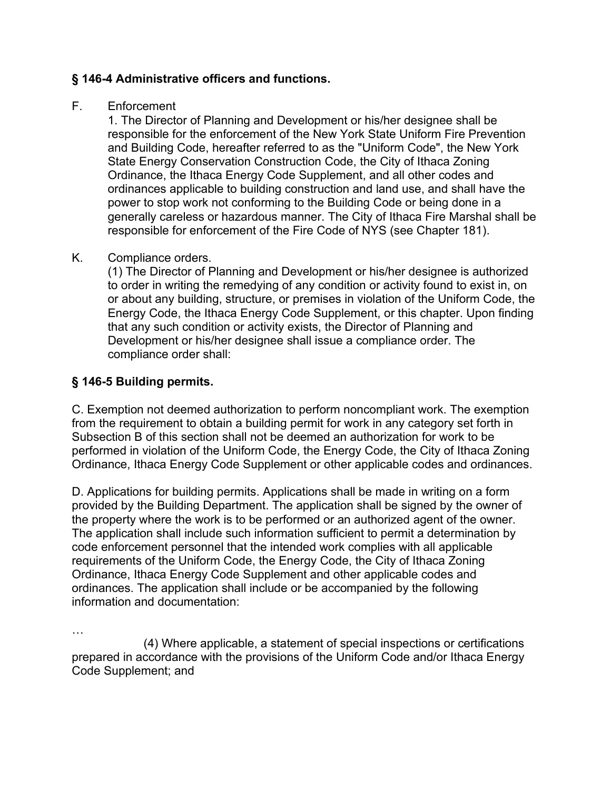## **§ 146-4 Administrative officers and functions.**

#### F. Enforcement

1. The Director of Planning and Development or his/her designee shall be responsible for the enforcement of the New York State Uniform Fire Prevention and Building Code, hereafter referred to as the "Uniform Code", the New York State Energy Conservation Construction Code, the City of Ithaca Zoning Ordinance, the Ithaca Energy Code Supplement, and all other codes and ordinances applicable to building construction and land use, and shall have the power to stop work not conforming to the Building Code or being done in a generally careless or hazardous manner. The City of Ithaca Fire Marshal shall be responsible for enforcement of the Fire Code of NYS (see Chapter 181).

## K. Compliance orders.

(1) The Director of Planning and Development or his/her designee is authorized to order in writing the remedying of any condition or activity found to exist in, on or about any building, structure, or premises in violation of the Uniform Code, the Energy Code, the Ithaca Energy Code Supplement, or this chapter. Upon finding that any such condition or activity exists, the Director of Planning and Development or his/her designee shall issue a compliance order. The compliance order shall:

# **§ 146-5 Building permits.**

C. Exemption not deemed authorization to perform noncompliant work. The exemption from the requirement to obtain a building permit for work in any category set forth in Subsection B of this section shall not be deemed an authorization for work to be performed in violation of the Uniform Code, the Energy Code, the City of Ithaca Zoning Ordinance, Ithaca Energy Code Supplement or other applicable codes and ordinances.

D. Applications for building permits. Applications shall be made in writing on a form provided by the Building Department. The application shall be signed by the owner of the property where the work is to be performed or an authorized agent of the owner. The application shall include such information sufficient to permit a determination by code enforcement personnel that the intended work complies with all applicable requirements of the Uniform Code, the Energy Code, the City of Ithaca Zoning Ordinance, Ithaca Energy Code Supplement and other applicable codes and ordinances. The application shall include or be accompanied by the following information and documentation:

…

(4) Where applicable, a statement of special inspections or certifications prepared in accordance with the provisions of the Uniform Code and/or Ithaca Energy Code Supplement; and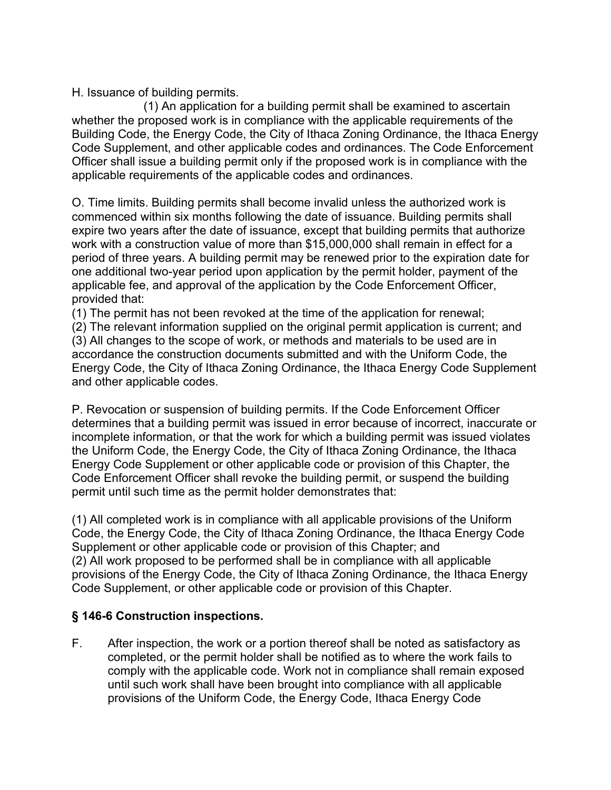H. Issuance of building permits.

(1) An application for a building permit shall be examined to ascertain whether the proposed work is in compliance with the applicable requirements of the Building Code, the Energy Code, the City of Ithaca Zoning Ordinance, the Ithaca Energy Code Supplement, and other applicable codes and ordinances. The Code Enforcement Officer shall issue a building permit only if the proposed work is in compliance with the applicable requirements of the applicable codes and ordinances.

O. Time limits. Building permits shall become invalid unless the authorized work is commenced within six months following the date of issuance. Building permits shall expire two years after the date of issuance, except that building permits that authorize work with a construction value of more than \$15,000,000 shall remain in effect for a period of three years. A building permit may be renewed prior to the expiration date for one additional two-year period upon application by the permit holder, payment of the applicable fee, and approval of the application by the Code Enforcement Officer, provided that:

(1) The permit has not been revoked at the time of the application for renewal;

(2) The relevant information supplied on the original permit application is current; and (3) All changes to the scope of work, or methods and materials to be used are in accordance the construction documents submitted and with the Uniform Code, the Energy Code, the City of Ithaca Zoning Ordinance, the Ithaca Energy Code Supplement and other applicable codes.

P. Revocation or suspension of building permits. If the Code Enforcement Officer determines that a building permit was issued in error because of incorrect, inaccurate or incomplete information, or that the work for which a building permit was issued violates the Uniform Code, the Energy Code, the City of Ithaca Zoning Ordinance, the Ithaca Energy Code Supplement or other applicable code or provision of this Chapter, the Code Enforcement Officer shall revoke the building permit, or suspend the building permit until such time as the permit holder demonstrates that:

(1) All completed work is in compliance with all applicable provisions of the Uniform Code, the Energy Code, the City of Ithaca Zoning Ordinance, the Ithaca Energy Code Supplement or other applicable code or provision of this Chapter; and (2) All work proposed to be performed shall be in compliance with all applicable provisions of the Energy Code, the City of Ithaca Zoning Ordinance, the Ithaca Energy Code Supplement, or other applicable code or provision of this Chapter.

## **§ 146-6 Construction inspections.**

F. After inspection, the work or a portion thereof shall be noted as satisfactory as completed, or the permit holder shall be notified as to where the work fails to comply with the applicable code. Work not in compliance shall remain exposed until such work shall have been brought into compliance with all applicable provisions of the Uniform Code, the Energy Code, Ithaca Energy Code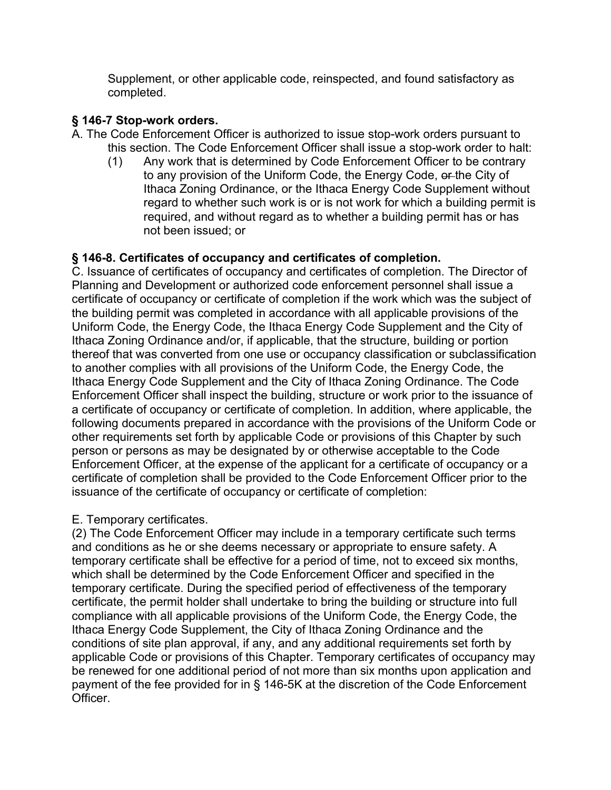Supplement, or other applicable code, reinspected, and found satisfactory as completed.

### **§ 146-7 Stop-work orders.**

- A. The Code Enforcement Officer is authorized to issue stop-work orders pursuant to this section. The Code Enforcement Officer shall issue a stop-work order to halt:
	- (1) Any work that is determined by Code Enforcement Officer to be contrary to any provision of the Uniform Code, the Energy Code, or the City of Ithaca Zoning Ordinance, or the Ithaca Energy Code Supplement without regard to whether such work is or is not work for which a building permit is required, and without regard as to whether a building permit has or has not been issued; or

## **§ 146-8. Certificates of occupancy and certificates of completion.**

C. Issuance of certificates of occupancy and certificates of completion. The Director of Planning and Development or authorized code enforcement personnel shall issue a certificate of occupancy or certificate of completion if the work which was the subject of the building permit was completed in accordance with all applicable provisions of the Uniform Code, the Energy Code, the Ithaca Energy Code Supplement and the City of Ithaca Zoning Ordinance and/or, if applicable, that the structure, building or portion thereof that was converted from one use or occupancy classification or subclassification to another complies with all provisions of the Uniform Code, the Energy Code, the Ithaca Energy Code Supplement and the City of Ithaca Zoning Ordinance. The Code Enforcement Officer shall inspect the building, structure or work prior to the issuance of a certificate of occupancy or certificate of completion. In addition, where applicable, the following documents prepared in accordance with the provisions of the Uniform Code or other requirements set forth by applicable Code or provisions of this Chapter by such person or persons as may be designated by or otherwise acceptable to the Code Enforcement Officer, at the expense of the applicant for a certificate of occupancy or a certificate of completion shall be provided to the Code Enforcement Officer prior to the issuance of the certificate of occupancy or certificate of completion:

#### E. Temporary certificates.

(2) The Code Enforcement Officer may include in a temporary certificate such terms and conditions as he or she deems necessary or appropriate to ensure safety. A temporary certificate shall be effective for a period of time, not to exceed six months, which shall be determined by the Code Enforcement Officer and specified in the temporary certificate. During the specified period of effectiveness of the temporary certificate, the permit holder shall undertake to bring the building or structure into full compliance with all applicable provisions of the Uniform Code, the Energy Code, the Ithaca Energy Code Supplement, the City of Ithaca Zoning Ordinance and the conditions of site plan approval, if any, and any additional requirements set forth by applicable Code or provisions of this Chapter. Temporary certificates of occupancy may be renewed for one additional period of not more than six months upon application and payment of the fee provided for in § 146-5K at the discretion of the Code Enforcement Officer.